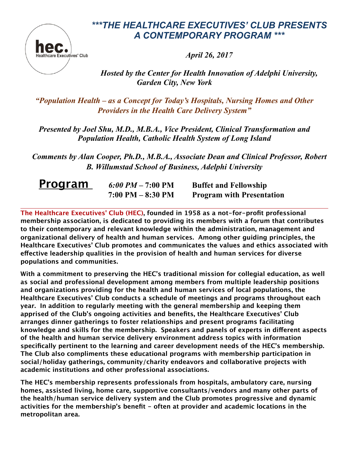## *\*\*\*THE HEALTHCARE EXECUTIVES' CLUB PRESENTS A CONTEMPORARY PROGRAM \*\*\**



*April 26, 2017*

*Hosted by the Center for Health Innovation of Adelphi University, Garden City, New York*

*"Population Health – as a Concept for Today's Hospitals, Nursing Homes and Other Providers in the Health Care Delivery System"*

*Presented by Joel Shu, M.D., M.B.A., Vice President, Clinical Transformation and Population Health, Catholic Health System of Long Island* 

 *Comments by Alan Cooper, Ph.D., M.B.A., Associate Dean and Clinical Professor, Robert B. Willumstad School of Business, Adelphi University*

| <u>Program</u> | 6:00 PM $-$ 7:00 PM  | <b>Buffet and Fellowship</b>     |
|----------------|----------------------|----------------------------------|
|                | $7:00$ PM $-8:30$ PM | <b>Program with Presentation</b> |

 **The Healthcare Executives' Club (HEC), founded in 1958 as a not-for-profit professional membership association, is dedicated to providing its members with a forum that contributes to their contemporary and relevant knowledge within the administration, management and organizational delivery of health and human services. Among other guiding principles, the Healthcare Executives' Club promotes and communicates the values and ethics associated with efective leadership qualities in the provision of health and human services for diverse populations and communities.**

**With a commitment to preserving the HEC's traditional mission for collegial education, as well as social and professional development among members from multiple leadership positions and organizations providing for the health and human services of local populations, the Healthcare Executives' Club conducts a schedule of meetings and programs throughout each year. In addition to regularly meeting with the general membership and keeping them apprised of the Club's ongoing activities and benefits, the Healthcare Executives' Club arranges dinner gatherings to foster relationships and present programs facilitating knowledge and skills for the membership. Speakers and panels of experts in diferent aspects of the health and human service delivery environment address topics with information specifically pertinent to the learning and career development needs of the HEC's membership. The Club also compliments these educational programs with membership participation in social/holiday gatherings, community/charity endeavors and collaborative projects with academic institutions and other professional associations.**

**The HEC's membership represents professionals from hospitals, ambulatory care, nursing homes, assisted living, home care, supportive consultants/vendors and many other parts of the health/human service delivery system and the Club promotes progressive and dynamic activities for the membership's benefit - often at provider and academic locations in the metropolitan area.**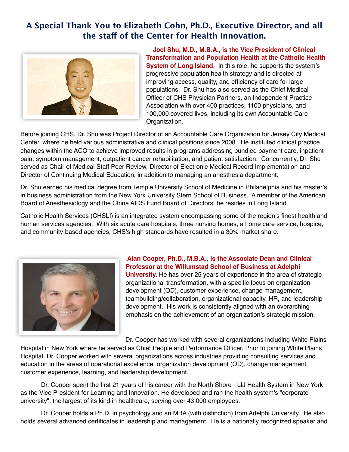## **A Special Thank You to Elizabeth Cohn, Ph.D., Executive Director, and all the staf of the Center for Health Innovation.**



 **Joel Shu, M.D., M.B.A., is the Vice President of Clinical Transformation and Population Health at the Catholic Health System of Long Island**. In this role, he supports the system's progressive population health strategy and is directed at improving access, quality, and efficiency of care for large populations. Dr. Shu has also served as the Chief Medical Officer of CHS Physician Partners, an Independent Practice Association with over 400 practices, 1100 physicians, and 100,000 covered lives, including its own Accountable Care Organization.

Before joining CHS, Dr. Shu was Project Director of an Accountable Care Organization for Jersey City Medical Center, where he held various administrative and clinical positions since 2008. He instituted clinical practice changes within the ACO to achieve improved results in programs addressing bundled payment care, inpatient pain, symptom management, outpatient cancer rehabilitation, and patient satisfaction. Concurrently, Dr. Shu served as Chair of Medical Staff Peer Review, Director of Electronic Medical Record Implementation and Director of Continuing Medical Education, in addition to managing an anesthesia department.

Dr. Shu earned his medical degree from Temple University School of Medicine in Philadelphia and his master's in business administration from the New York University Stern School of Business. A member of the American Board of Anesthesiology and the China AIDS Fund Board of Directors, he resides in Long Island.

Catholic Health Services (CHSLI) is an integrated system encompassing some of the region's finest health and human services agencies. With six acute care hospitals, three nursing homes, a home care service, hospice, and community-based agencies, CHS's high standards have resulted in a 30% market share.



## **Alan Cooper, Ph.D., M.B.A., is the Associate Dean and Clinical Professor at the Willumstad School of Business at Adelphi**

**University.** He has over 25 years of experience in the area of strategic organizational transformation, with a specific focus on organization development (OD), customer experience, change management, teambuilding/collaboration, organizational capacity, HR, and leadership development. His work is consistently aligned with an overarching emphasis on the achievement of an organization's strategic mission.

Dr. Cooper has worked with several organizations including White Plains Hospital in New York where he served as Chief People and Performance Officer. Prior to joining White Plains Hospital, Dr. Cooper worked with several organizations across industries providing consulting services and education in the areas of operational excellence, organization development (OD), change management, customer experience, learning, and leadership development.

Dr. Cooper spent the first 21 years of his career with the North Shore - LIJ Health System in New York as the Vice President for Learning and Innovation. He developed and ran the health system's "corporate university", the largest of its kind in healthcare, serving over 43,000 employees.

Dr. Cooper holds a Ph.D. in psychology and an MBA (with distinction) from Adelphi University. He also holds several advanced certificates in leadership and management. He is a nationally recognized speaker and